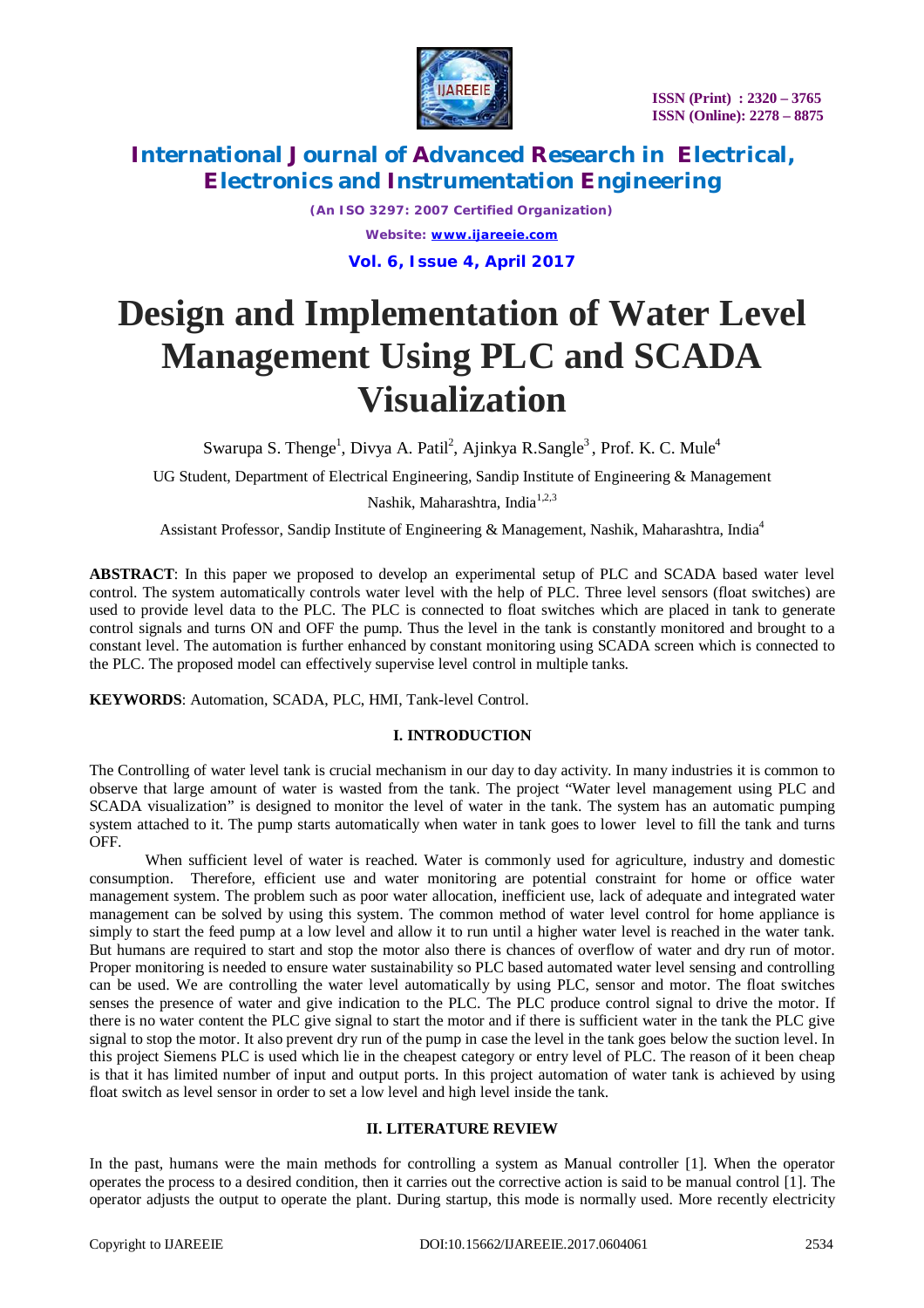

*(An ISO 3297: 2007 Certified Organization) Website: [www.ijareeie.com](http://www.ijareeie.com)* **Vol. 6, Issue 4, April 2017**

# **Design and Implementation of Water Level Management Using PLC and SCADA Visualization**

Swarupa S. Thenge<sup>1</sup>, Divya A. Patil<sup>2</sup>, Ajinkya R.Sangle<sup>3</sup>, Prof. K. C. Mule<sup>4</sup>

UG Student, Department of Electrical Engineering, Sandip Institute of Engineering & Management

Nashik, Maharashtra, India<sup>1,2,3</sup>

Assistant Professor, Sandip Institute of Engineering & Management, Nashik, Maharashtra, India<sup>4</sup>

**ABSTRACT**: In this paper we proposed to develop an experimental setup of PLC and SCADA based water level control. The system automatically controls water level with the help of PLC. Three level sensors (float switches) are used to provide level data to the PLC. The PLC is connected to float switches which are placed in tank to generate control signals and turns ON and OFF the pump. Thus the level in the tank is constantly monitored and brought to a constant level. The automation is further enhanced by constant monitoring using SCADA screen which is connected to the PLC. The proposed model can effectively supervise level control in multiple tanks.

**KEYWORDS**: Automation, SCADA, PLC, HMI, Tank-level Control.

## **I. INTRODUCTION**

The Controlling of water level tank is crucial mechanism in our day to day activity. In many industries it is common to observe that large amount of water is wasted from the tank. The project "Water level management using PLC and SCADA visualization" is designed to monitor the level of water in the tank. The system has an automatic pumping system attached to it. The pump starts automatically when water in tank goes to lower level to fill the tank and turns OFF.

When sufficient level of water is reached. Water is commonly used for agriculture, industry and domestic consumption. Therefore, efficient use and water monitoring are potential constraint for home or office water management system. The problem such as poor water allocation, inefficient use, lack of adequate and integrated water management can be solved by using this system. The common method of water level control for home appliance is simply to start the feed pump at a low level and allow it to run until a higher water level is reached in the water tank. But humans are required to start and stop the motor also there is chances of overflow of water and dry run of motor. Proper monitoring is needed to ensure water sustainability so PLC based automated water level sensing and controlling can be used. We are controlling the water level automatically by using PLC, sensor and motor. The float switches senses the presence of water and give indication to the PLC. The PLC produce control signal to drive the motor. If there is no water content the PLC give signal to start the motor and if there is sufficient water in the tank the PLC give signal to stop the motor. It also prevent dry run of the pump in case the level in the tank goes below the suction level. In this project Siemens PLC is used which lie in the cheapest category or entry level of PLC. The reason of it been cheap is that it has limited number of input and output ports. In this project automation of water tank is achieved by using float switch as level sensor in order to set a low level and high level inside the tank.

# **II. LITERATURE REVIEW**

In the past, humans were the main methods for controlling a system as Manual controller [1]. When the operator operates the process to a desired condition, then it carries out the corrective action is said to be manual control [1]. The operator adjusts the output to operate the plant. During startup, this mode is normally used. More recently electricity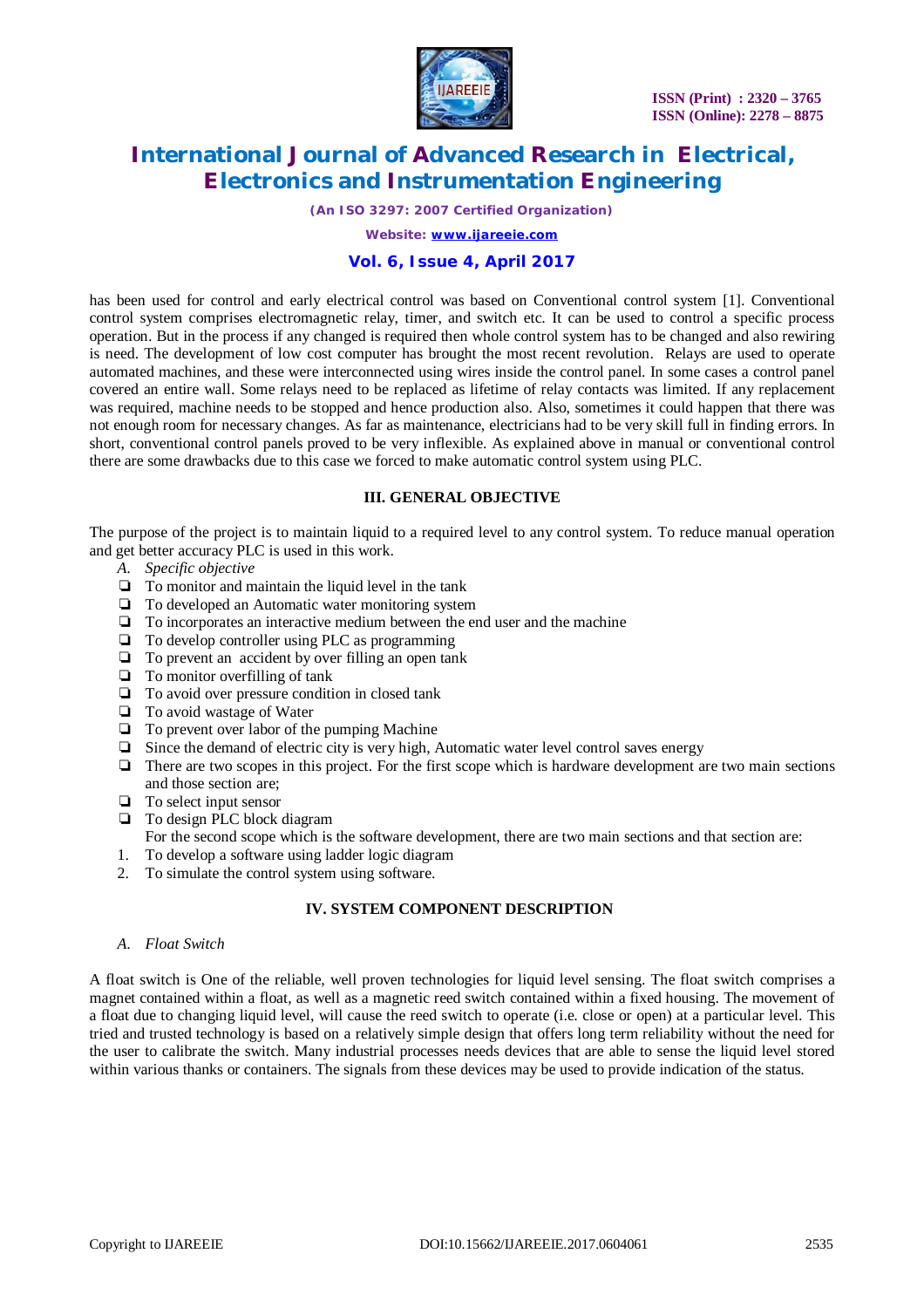

*(An ISO 3297: 2007 Certified Organization)*

*Website: [www.ijareeie.com](http://www.ijareeie.com)*

### **Vol. 6, Issue 4, April 2017**

has been used for control and early electrical control was based on Conventional control system [1]. Conventional control system comprises electromagnetic relay, timer, and switch etc. It can be used to control a specific process operation. But in the process if any changed is required then whole control system has to be changed and also rewiring is need. The development of low cost computer has brought the most recent revolution. Relays are used to operate automated machines, and these were interconnected using wires inside the control panel. In some cases a control panel covered an entire wall. Some relays need to be replaced as lifetime of relay contacts was limited. If any replacement was required, machine needs to be stopped and hence production also. Also, sometimes it could happen that there was not enough room for necessary changes. As far as maintenance, electricians had to be very skill full in finding errors. In short, conventional control panels proved to be very inflexible. As explained above in manual or conventional control there are some drawbacks due to this case we forced to make automatic control system using PLC.

### **III. GENERAL OBJECTIVE**

The purpose of the project is to maintain liquid to a required level to any control system. To reduce manual operation and get better accuracy PLC is used in this work.

- *A. Specific objective*
- ❏ To monitor and maintain the liquid level in the tank
- ❏ To developed an Automatic water monitoring system
- ❏ To incorporates an interactive medium between the end user and the machine
- ❏ To develop controller using PLC as programming
- ❏ To prevent an accident by over filling an open tank
- ❏ To monitor overfilling of tank
- ❏ To avoid over pressure condition in closed tank
- ❏ To avoid wastage of Water
- ❏ To prevent over labor of the pumping Machine
- ❏ Since the demand of electric city is very high, Automatic water level control saves energy
- ❏ There are two scopes in this project. For the first scope which is hardware development are two main sections and those section are;
- ❏ To select input sensor
- ❏ To design PLC block diagram
	- For the second scope which is the software development, there are two main sections and that section are:
- 1. To develop a software using ladder logic diagram
- 2. To simulate the control system using software.

## **IV. SYSTEM COMPONENT DESCRIPTION**

*A. Float Switch*

A float switch is One of the reliable, well proven technologies for liquid level sensing. The float switch comprises a magnet contained within a float, as well as a magnetic reed switch contained within a fixed housing. The movement of a float due to changing liquid level, will cause the reed switch to operate (i.e. close or open) at a particular level. This tried and trusted technology is based on a relatively simple design that offers long term reliability without the need for the user to calibrate the switch. Many industrial processes needs devices that are able to sense the liquid level stored within various thanks or containers. The signals from these devices may be used to provide indication of the status.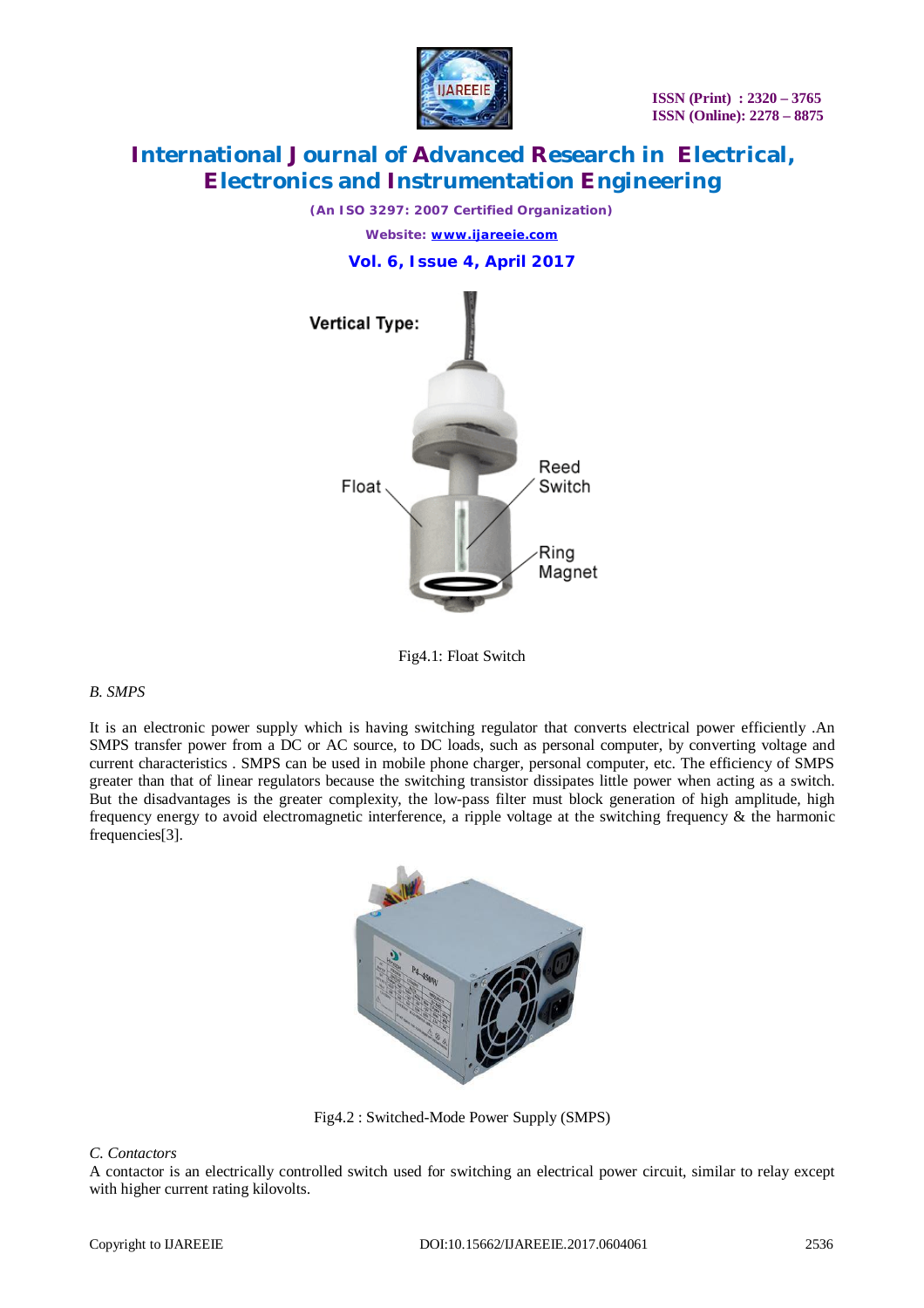

*(An ISO 3297: 2007 Certified Organization)*

*Website: [www.ijareeie.com](http://www.ijareeie.com)*

**Vol. 6, Issue 4, April 2017**



Fig4.1: Float Switch

## *B. SMPS*

It is an electronic power supply which is having switching regulator that converts electrical power efficiently .An SMPS transfer power from a DC or AC source, to DC loads, such as personal computer, by converting voltage and current characteristics . SMPS can be used in mobile phone charger, personal computer, etc. The efficiency of SMPS greater than that of linear regulators because the switching transistor dissipates little power when acting as a switch. But the disadvantages is the greater complexity, the low-pass filter must block generation of high amplitude, high frequency energy to avoid electromagnetic interference, a ripple voltage at the switching frequency & the harmonic frequencies[3].



Fig4.2 : Switched-Mode Power Supply (SMPS)

#### *C. Contactors*

A contactor is an electrically controlled switch used for switching an electrical power circuit, similar to relay except with higher current rating kilovolts.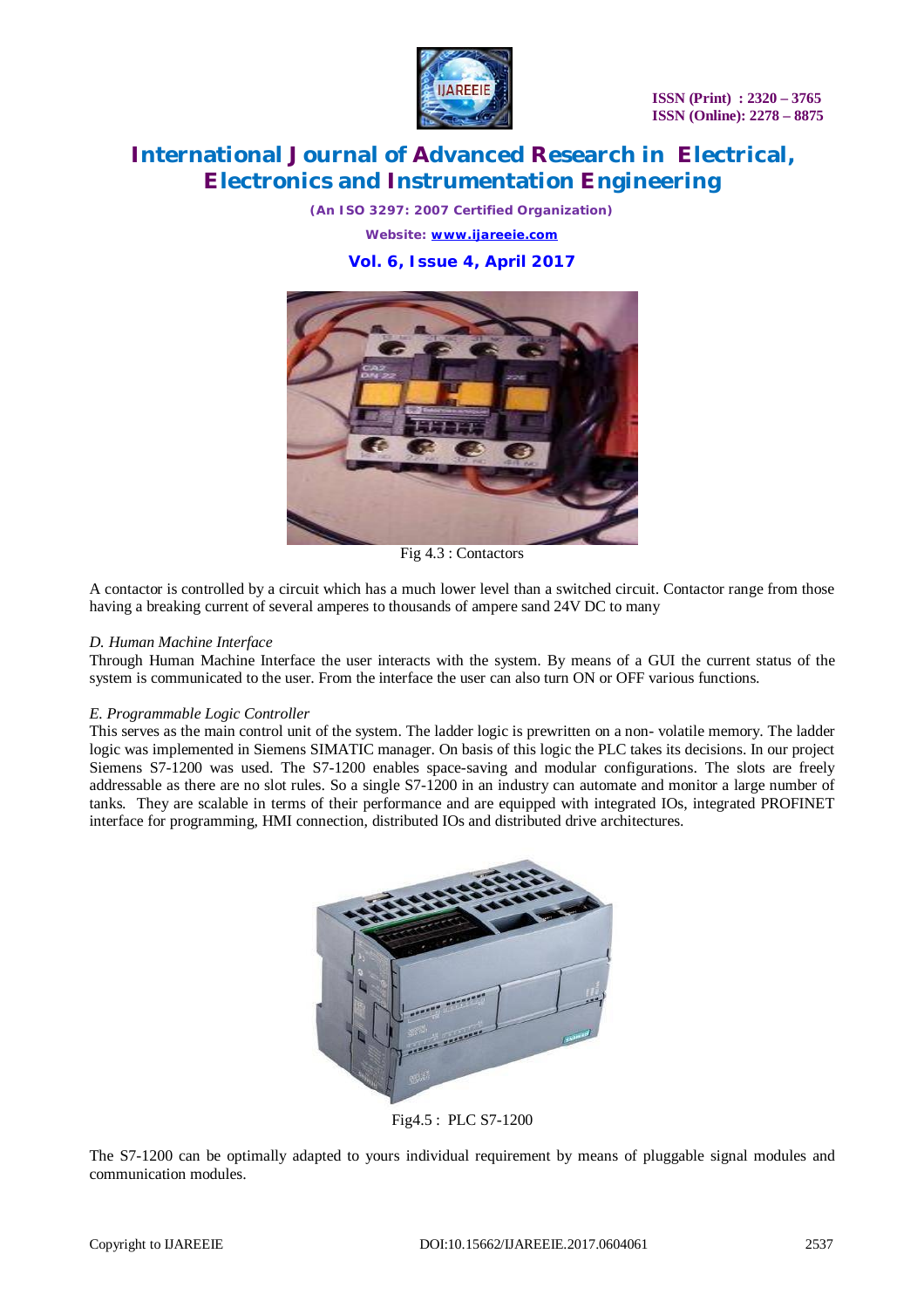

*(An ISO 3297: 2007 Certified Organization)*

*Website: [www.ijareeie.com](http://www.ijareeie.com)*

**Vol. 6, Issue 4, April 2017**



Fig 4.3 : Contactors

A contactor is controlled by a circuit which has a much lower level than a switched circuit. Contactor range from those having a breaking current of several amperes to thousands of ampere sand 24V DC to many

### *D. Human Machine Interface*

Through Human Machine Interface the user interacts with the system. By means of a GUI the current status of the system is communicated to the user. From the interface the user can also turn ON or OFF various functions.

#### *E. Programmable Logic Controller*

This serves as the main control unit of the system. The ladder logic is prewritten on a non- volatile memory. The ladder logic was implemented in Siemens SIMATIC manager. On basis of this logic the PLC takes its decisions. In our project Siemens S7-1200 was used. The S7-1200 enables space-saving and modular configurations. The slots are freely addressable as there are no slot rules. So a single S7-1200 in an industry can automate and monitor a large number of tanks. They are scalable in terms of their performance and are equipped with integrated IOs, integrated PROFINET interface for programming, HMI connection, distributed IOs and distributed drive architectures.



Fig4.5 : PLC S7-1200

The S7-1200 can be optimally adapted to yours individual requirement by means of pluggable signal modules and communication modules.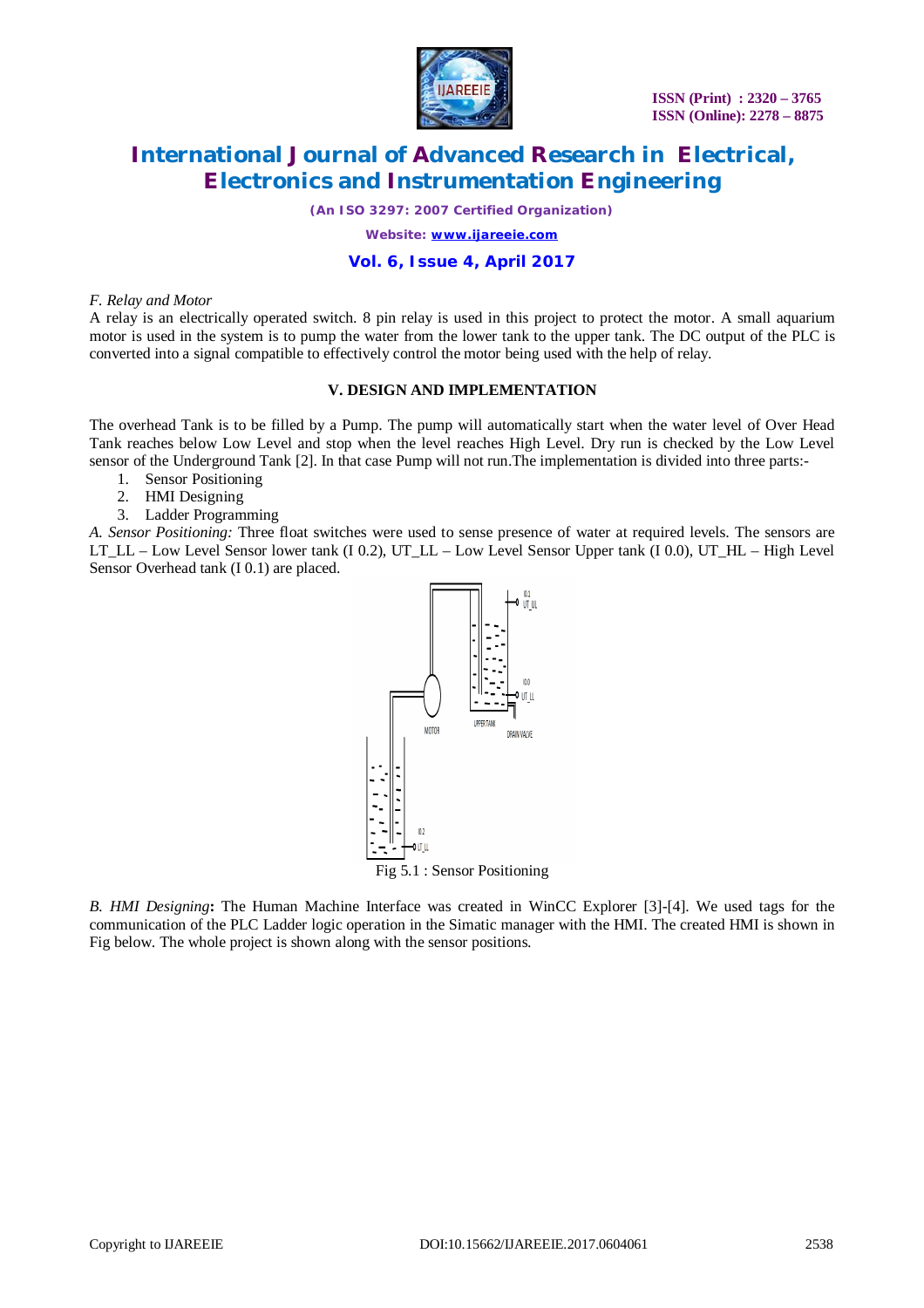

*(An ISO 3297: 2007 Certified Organization)*

*Website: [www.ijareeie.com](http://www.ijareeie.com)*

### **Vol. 6, Issue 4, April 2017**

#### *F. Relay and Motor*

A relay is an electrically operated switch. 8 pin relay is used in this project to protect the motor. A small aquarium motor is used in the system is to pump the water from the lower tank to the upper tank. The DC output of the PLC is converted into a signal compatible to effectively control the motor being used with the help of relay.

#### **V. DESIGN AND IMPLEMENTATION**

The overhead Tank is to be filled by a Pump. The pump will automatically start when the water level of Over Head Tank reaches below Low Level and stop when the level reaches High Level. Dry run is checked by the Low Level sensor of the Underground Tank [2]. In that case Pump will not run.The implementation is divided into three parts:-

- 1. Sensor Positioning
- 2. HMI Designing
- 3. Ladder Programming

*A. Sensor Positioning:* Three float switches were used to sense presence of water at required levels. The sensors are LT\_LL – Low Level Sensor lower tank (I 0.2), UT\_LL – Low Level Sensor Upper tank (I 0.0), UT\_HL – High Level Sensor Overhead tank (I 0.1) are placed.



*B. HMI Designing***:** The Human Machine Interface was created in WinCC Explorer [3]-[4]. We used tags for the communication of the PLC Ladder logic operation in the Simatic manager with the HMI. The created HMI is shown in Fig below. The whole project is shown along with the sensor positions.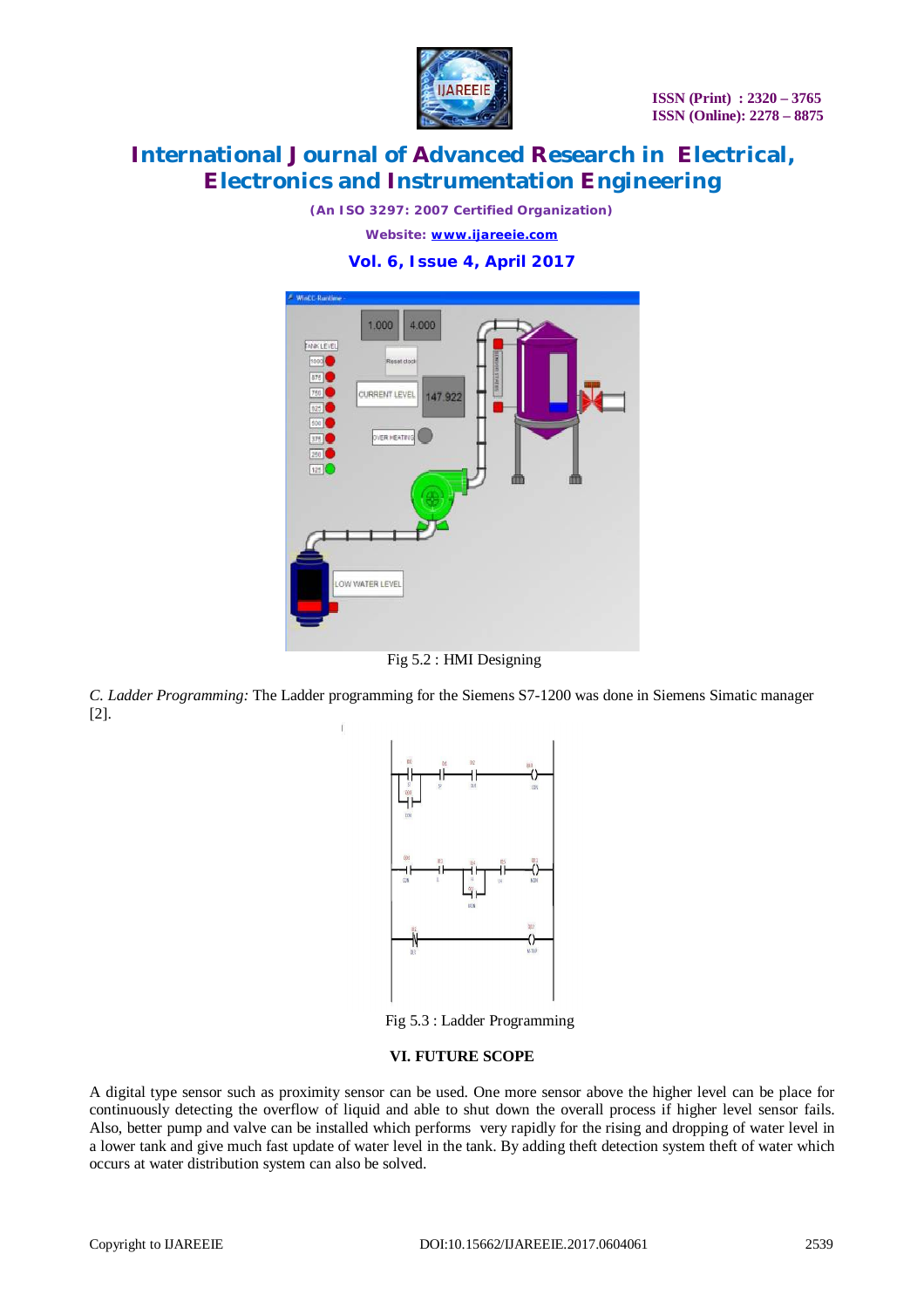

*(An ISO 3297: 2007 Certified Organization)*

*Website: [www.ijareeie.com](http://www.ijareeie.com)*

## **Vol. 6, Issue 4, April 2017**



Fig 5.2 : HMI Designing

*C. Ladder Programming:* The Ladder programming for the Siemens S7-1200 was done in Siemens Simatic manager [2].



Fig 5.3 : Ladder Programming

#### **VI. FUTURE SCOPE**

A digital type sensor such as proximity sensor can be used. One more sensor above the higher level can be place for continuously detecting the overflow of liquid and able to shut down the overall process if higher level sensor fails. Also, better pump and valve can be installed which performs very rapidly for the rising and dropping of water level in a lower tank and give much fast update of water level in the tank. By adding theft detection system theft of water which occurs at water distribution system can also be solved.